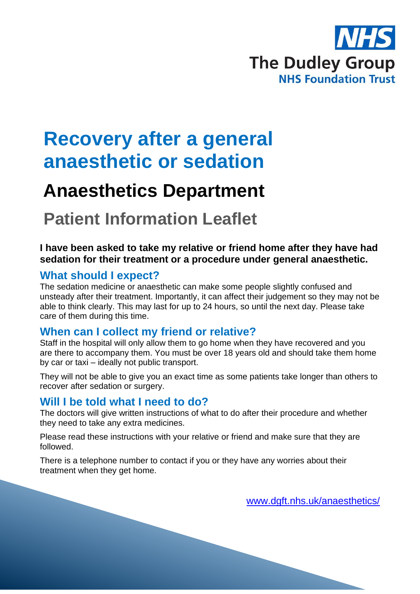

# **Recovery after a general anaesthetic or sedation**

## **Anaesthetics Department**

## **Patient Information Leaflet**

#### **I have been asked to take my relative or friend home after they have had sedation for their treatment or a procedure under general anaesthetic.**

## **What should I expect?**

The sedation medicine or anaesthetic can make some people slightly confused and unsteady after their treatment. Importantly, it can affect their judgement so they may not be able to think clearly. This may last for up to 24 hours, so until the next day. Please take care of them during this time.

#### **When can I collect my friend or relative?**

Staff in the hospital will only allow them to go home when they have recovered and you are there to accompany them. You must be over 18 years old and should take them home by car or taxi – ideally not public transport.

They will not be able to give you an exact time as some patients take longer than others to recover after sedation or surgery.

## **Will I be told what I need to do?**

The doctors will give written instructions of what to do after their procedure and whether they need to take any extra medicines.

Please read these instructions with your relative or friend and make sure that they are followed.

There is a telephone number to contact if you or they have any worries about their treatment when they get home.

[www.dgft.nhs.uk/anaesthetics/](http://www.dgft.nhs.uk/anaesthetics/)